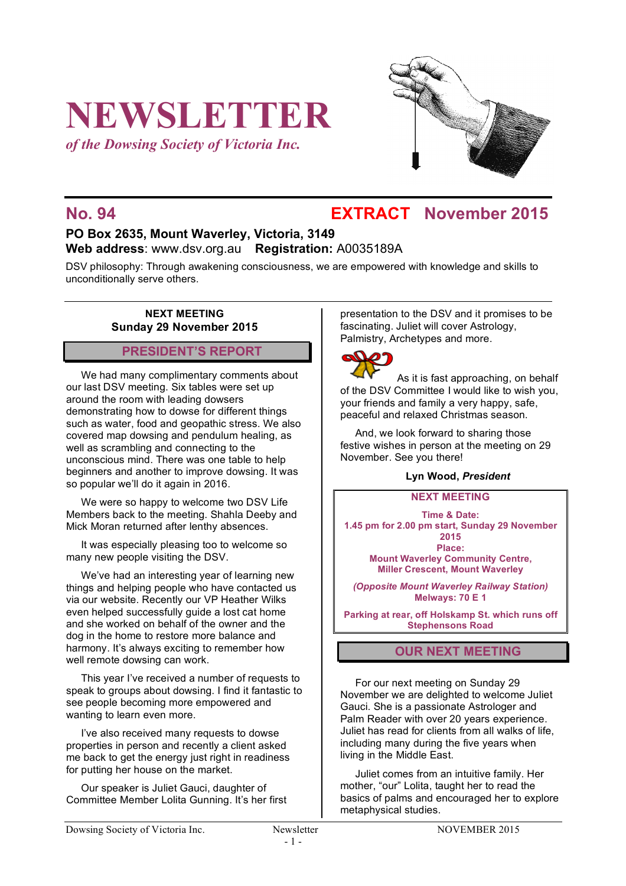# **NEWSLETTER**

*of the Dowsing Society of Victoria Inc.*



### **No. 94 EXTRACT November 2015**

### **PO Box 2635, Mount Waverley, Victoria, 3149 Web address**: www.dsv.org.au **Registration:** A0035189A

DSV philosophy: Through awakening consciousness, we are empowered with knowledge and skills to unconditionally serve others.

### **NEXT MEETING Sunday 29 November 2015**

### **PRESIDENT'S REPORT**

We had many complimentary comments about our last DSV meeting. Six tables were set up around the room with leading dowsers demonstrating how to dowse for different things such as water, food and geopathic stress. We also covered map dowsing and pendulum healing, as well as scrambling and connecting to the unconscious mind. There was one table to help beginners and another to improve dowsing. It was so popular we'll do it again in 2016.

We were so happy to welcome two DSV Life Members back to the meeting. Shahla Deeby and Mick Moran returned after lenthy absences.

It was especially pleasing too to welcome so many new people visiting the DSV.

We've had an interesting year of learning new things and helping people who have contacted us via our website. Recently our VP Heather Wilks even helped successfully guide a lost cat home and she worked on behalf of the owner and the dog in the home to restore more balance and harmony. It's always exciting to remember how well remote dowsing can work.

This year I've received a number of requests to speak to groups about dowsing. I find it fantastic to see people becoming more empowered and wanting to learn even more.

I've also received many requests to dowse properties in person and recently a client asked me back to get the energy just right in readiness for putting her house on the market.

Our speaker is Juliet Gauci, daughter of Committee Member Lolita Gunning. It's her first presentation to the DSV and it promises to be fascinating. Juliet will cover Astrology, Palmistry, Archetypes and more.



As it is fast approaching, on behalf of the DSV Committee I would like to wish you, your friends and family a very happy, safe, peaceful and relaxed Christmas season.

And, we look forward to sharing those festive wishes in person at the meeting on 29 November. See you there!

### **Lyn Wood,** *President*

### **NEXT MEETING**

**Time & Date: 1.45 pm for 2.00 pm start, Sunday 29 November 2015 Place: Mount Waverley Community Centre, Miller Crescent, Mount Waverley**

*(Opposite Mount Waverley Railway Station)* **Melways: 70 E 1**

**Parking at rear, off Holskamp St. which runs off Stephensons Road**

### **OUR NEXT MEETING**

For our next meeting on Sunday 29 November we are delighted to welcome Juliet Gauci. She is a passionate Astrologer and Palm Reader with over 20 years experience. Juliet has read for clients from all walks of life, including many during the five years when living in the Middle East.

Juliet comes from an intuitive family. Her mother, "our" Lolita, taught her to read the basics of palms and encouraged her to explore metaphysical studies.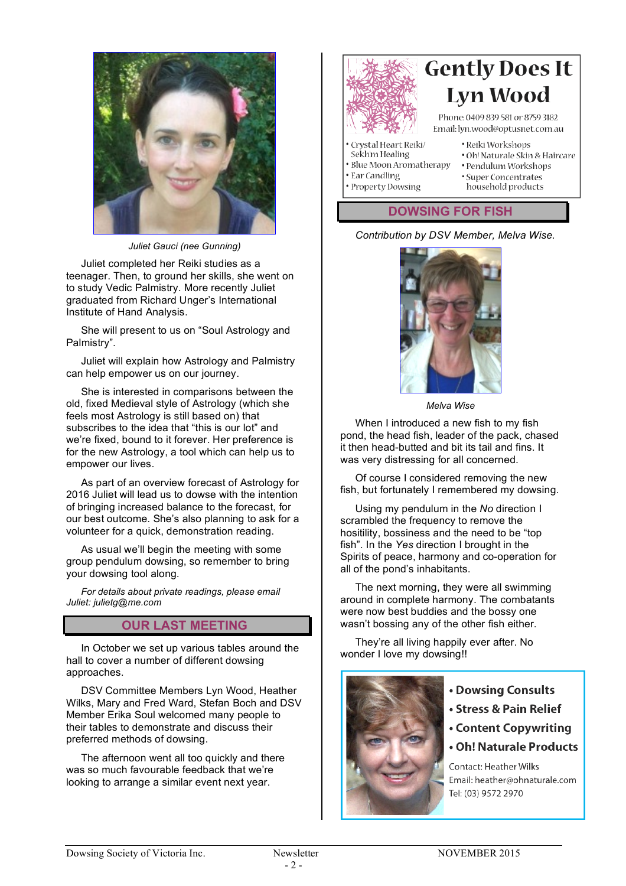

*Juliet Gauci (nee Gunning)*

Juliet completed her Reiki studies as a teenager. Then, to ground her skills, she went on to study Vedic Palmistry. More recently Juliet graduated from Richard Unger's International Institute of Hand Analysis.

She will present to us on "Soul Astrology and Palmistry".

Juliet will explain how Astrology and Palmistry can help empower us on our journey.

She is interested in comparisons between the old, fixed Medieval style of Astrology (which she feels most Astrology is still based on) that subscribes to the idea that "this is our lot" and we're fixed, bound to it forever. Her preference is for the new Astrology, a tool which can help us to empower our lives.

As part of an overview forecast of Astrology for 2016 Juliet will lead us to dowse with the intention of bringing increased balance to the forecast, for our best outcome. She's also planning to ask for a volunteer for a quick, demonstration reading.

As usual we'll begin the meeting with some group pendulum dowsing, so remember to bring your dowsing tool along.

*For details about private readings, please email Juliet: julietg@me.com*

### **OUR LAST MEETING**

In October we set up various tables around the hall to cover a number of different dowsing approaches.

DSV Committee Members Lyn Wood, Heather Wilks, Mary and Fred Ward, Stefan Boch and DSV Member Erika Soul welcomed many people to their tables to demonstrate and discuss their preferred methods of dowsing.

The afternoon went all too quickly and there was so much favourable feedback that we're looking to arrange a similar event next year.



## **Gently Does It Lyn Wood**

Phone: 0409 839 581 or 8759 3182 Email: lyn.wood@optusnet.com.au

- · Crystal Heart Reiki/ Sekh'm Healing
- · Reiki Workshops · Oh! Naturale Skin & Haircare
- · Blue Moon Aromatherapy

• Property Dowsing

- · Pendulum Workshops • Ear Candling
	- · Super Concentrates household products

### **DOWSING FOR FISH**

### *Contribution by DSV Member, Melva Wise.*



*Melva Wise*

When I introduced a new fish to my fish pond, the head fish, leader of the pack, chased it then head-butted and bit its tail and fins. It was very distressing for all concerned.

Of course I considered removing the new fish, but fortunately I remembered my dowsing.

Using my pendulum in the *No* direction I scrambled the frequency to remove the hositility, bossiness and the need to be "top fish". In the *Yes* direction I brought in the Spirits of peace, harmony and co-operation for all of the pond's inhabitants.

The next morning, they were all swimming around in complete harmony. The combatants were now best buddies and the bossy one wasn't bossing any of the other fish either.

They're all living happily ever after. No wonder I love my dowsing!!



- Dowsing Consults
- Stress & Pain Relief
- **Content Copywriting**
- Oh! Naturale Products

Contact: Heather Wilks Email: heather@ohnaturale.com Tel: (03) 9572 2970